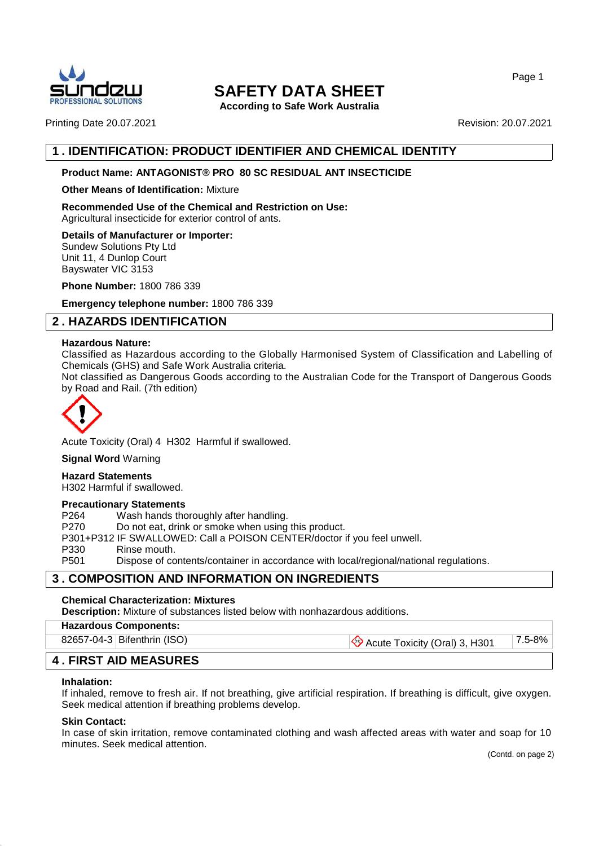

**According to Safe Work Australia**

Page 1

Printing Date 20.07.2021 **Revision: 20.07.2021** Revision: 20.07.2021

## **1 . IDENTIFICATION: PRODUCT IDENTIFIER AND CHEMICAL IDENTITY**

## **Product Name: ANTAGONIST® PRO 80 SC RESIDUAL ANT INSECTICIDE**

#### **Other Means of Identification:** Mixture

**Recommended Use of the Chemical and Restriction on Use:**

Agricultural insecticide for exterior control of ants.

**Details of Manufacturer or Importer:** Sundew Solutions Pty Ltd

Unit 11, 4 Dunlop Court Bayswater VIC 3153

**Phone Number:** 1800 786 339

**Emergency telephone number:** 1800 786 339

## **2 . HAZARDS IDENTIFICATION**

#### **Hazardous Nature:**

Classified as Hazardous according to the Globally Harmonised System of Classification and Labelling of Chemicals (GHS) and Safe Work Australia criteria.

Not classified as Dangerous Goods according to the Australian Code for the Transport of Dangerous Goods by Road and Rail. (7th edition)



Acute Toxicity (Oral) 4 H302 Harmful if swallowed.

**Signal Word** Warning

## **Hazard Statements**

H302 Harmful if swallowed.

#### **Precautionary Statements**

P264 Wash hands thoroughly after handling.

P270 Do not eat, drink or smoke when using this product.

P301+P312 IF SWALLOWED: Call a POISON CENTER/doctor if you feel unwell.

P330 Rinse mouth.

P501 Dispose of contents/container in accordance with local/regional/national regulations.

## **3 . COMPOSITION AND INFORMATION ON INGREDIENTS**

## **Chemical Characterization: Mixtures**

**Description:** Mixture of substances listed below with nonhazardous additions.

## **Hazardous Components:**

82657-04-3 Bifenthrin (ISO)  $\bigotimes$  Acute Toxicity (Oral) 3, H301 7.5-8%

## **4 . FIRST AID MEASURES**

#### **Inhalation:**

If inhaled, remove to fresh air. If not breathing, give artificial respiration. If breathing is difficult, give oxygen. Seek medical attention if breathing problems develop.

#### **Skin Contact:**

In case of skin irritation, remove contaminated clothing and wash affected areas with water and soap for 10 minutes. Seek medical attention.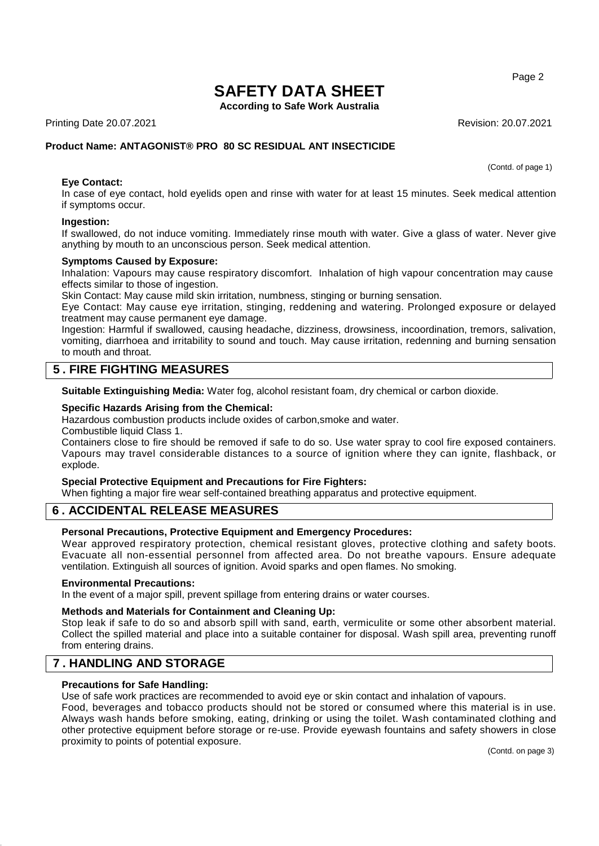**According to Safe Work Australia**

Printing Date 20.07.2021 **Revision: 20.07.2021** Revision: 20.07.2021

## **Product Name: ANTAGONIST® PRO 80 SC RESIDUAL ANT INSECTICIDE**

(Contd. of page 1)

#### **Eye Contact:**

In case of eye contact, hold eyelids open and rinse with water for at least 15 minutes. Seek medical attention if symptoms occur.

#### **Ingestion:**

If swallowed, do not induce vomiting. Immediately rinse mouth with water. Give a glass of water. Never give anything by mouth to an unconscious person. Seek medical attention.

#### **Symptoms Caused by Exposure:**

Inhalation: Vapours may cause respiratory discomfort. Inhalation of high vapour concentration may cause effects similar to those of ingestion.

Skin Contact: May cause mild skin irritation, numbness, stinging or burning sensation.

Eye Contact: May cause eye irritation, stinging, reddening and watering. Prolonged exposure or delayed treatment may cause permanent eye damage.

Ingestion: Harmful if swallowed, causing headache, dizziness, drowsiness, incoordination, tremors, salivation, vomiting, diarrhoea and irritability to sound and touch. May cause irritation, redenning and burning sensation to mouth and throat.

## **5 . FIRE FIGHTING MEASURES**

**Suitable Extinguishing Media:** Water fog, alcohol resistant foam, dry chemical or carbon dioxide.

#### **Specific Hazards Arising from the Chemical:**

Hazardous combustion products include oxides of carbon,smoke and water.

Combustible liquid Class 1.

Containers close to fire should be removed if safe to do so. Use water spray to cool fire exposed containers. Vapours may travel considerable distances to a source of ignition where they can ignite, flashback, or explode.

#### **Special Protective Equipment and Precautions for Fire Fighters:**

When fighting a major fire wear self-contained breathing apparatus and protective equipment.

## **6 . ACCIDENTAL RELEASE MEASURES**

#### **Personal Precautions, Protective Equipment and Emergency Procedures:**

Wear approved respiratory protection, chemical resistant gloves, protective clothing and safety boots. Evacuate all non-essential personnel from affected area. Do not breathe vapours. Ensure adequate ventilation. Extinguish all sources of ignition. Avoid sparks and open flames. No smoking.

#### **Environmental Precautions:**

In the event of a major spill, prevent spillage from entering drains or water courses.

#### **Methods and Materials for Containment and Cleaning Up:**

Stop leak if safe to do so and absorb spill with sand, earth, vermiculite or some other absorbent material. Collect the spilled material and place into a suitable container for disposal. Wash spill area, preventing runoff from entering drains.

## **7 . HANDLING AND STORAGE**

#### **Precautions for Safe Handling:**

Use of safe work practices are recommended to avoid eye or skin contact and inhalation of vapours.

Food, beverages and tobacco products should not be stored or consumed where this material is in use. Always wash hands before smoking, eating, drinking or using the toilet. Wash contaminated clothing and other protective equipment before storage or re-use. Provide eyewash fountains and safety showers in close proximity to points of potential exposure.

Page 2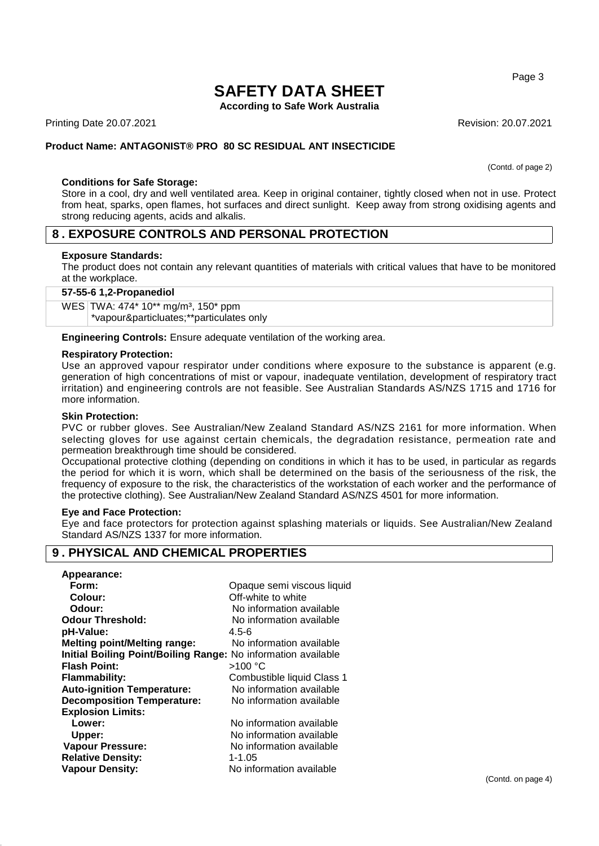**According to Safe Work Australia**

Printing Date 20.07.2021 **Revision: 20.07.2021** Revision: 20.07.2021

## **Product Name: ANTAGONIST® PRO 80 SC RESIDUAL ANT INSECTICIDE**

(Contd. of page 2)

Page 3

#### **Conditions for Safe Storage:**

Store in a cool, dry and well ventilated area. Keep in original container, tightly closed when not in use. Protect from heat, sparks, open flames, hot surfaces and direct sunlight. Keep away from strong oxidising agents and strong reducing agents, acids and alkalis.

## **8 . EXPOSURE CONTROLS AND PERSONAL PROTECTION**

#### **Exposure Standards:**

The product does not contain any relevant quantities of materials with critical values that have to be monitored at the workplace.

#### **57-55-6 1,2-Propanediol**

WES TWA: 474\* 10\*\* mg/m<sup>3</sup>, 150\* ppm \*vapour&particluates;\*\*particulates only

**Engineering Controls:** Ensure adequate ventilation of the working area.

#### **Respiratory Protection:**

Use an approved vapour respirator under conditions where exposure to the substance is apparent (e.g. generation of high concentrations of mist or vapour, inadequate ventilation, development of respiratory tract irritation) and engineering controls are not feasible. See Australian Standards AS/NZS 1715 and 1716 for more information.

#### **Skin Protection:**

PVC or rubber gloves. See Australian/New Zealand Standard AS/NZS 2161 for more information. When selecting gloves for use against certain chemicals, the degradation resistance, permeation rate and permeation breakthrough time should be considered.

Occupational protective clothing (depending on conditions in which it has to be used, in particular as regards the period for which it is worn, which shall be determined on the basis of the seriousness of the risk, the frequency of exposure to the risk, the characteristics of the workstation of each worker and the performance of the protective clothing). See Australian/New Zealand Standard AS/NZS 4501 for more information.

#### **Eye and Face Protection:**

Eye and face protectors for protection against splashing materials or liquids. See Australian/New Zealand Standard AS/NZS 1337 for more information.

## **9 . PHYSICAL AND CHEMICAL PROPERTIES**

| Opaque semi viscous liquid                                    |
|---------------------------------------------------------------|
| Off-white to white                                            |
| No information available                                      |
| No information available                                      |
| $4.5 - 6$                                                     |
| No information available                                      |
| Initial Boiling Point/Boiling Range: No information available |
| >100 °C                                                       |
| Combustible liquid Class 1                                    |
| No information available                                      |
| No information available                                      |
|                                                               |
| No information available                                      |
| No information available                                      |
| No information available                                      |
| 1-1.05                                                        |
| No information available                                      |
|                                                               |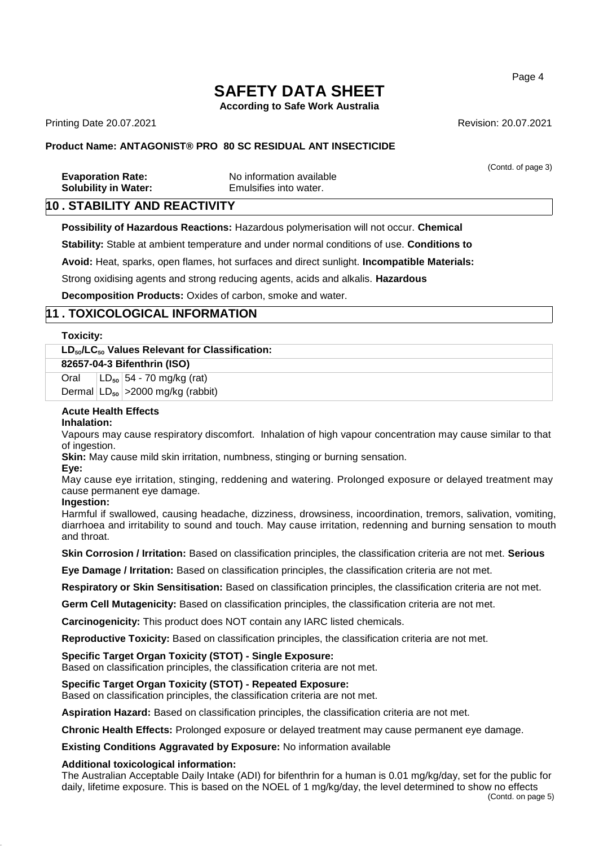**According to Safe Work Australia**

Printing Date 20.07.2021 **Revision: 20.07.2021** Revision: 20.07.2021

## **Product Name: ANTAGONIST® PRO 80 SC RESIDUAL ANT INSECTICIDE**

|                             |                          | (Contd. of page 3) |
|-----------------------------|--------------------------|--------------------|
| <b>Evaporation Rate:</b>    | No information available |                    |
| <b>Solubility in Water:</b> | Emulsifies into water.   |                    |

## **10 . STABILITY AND REACTIVITY**

**Possibility of Hazardous Reactions:** Hazardous polymerisation will not occur. **Chemical** 

**Stability:** Stable at ambient temperature and under normal conditions of use. **Conditions to** 

**Avoid:** Heat, sparks, open flames, hot surfaces and direct sunlight. **Incompatible Materials:** 

Strong oxidising agents and strong reducing agents, acids and alkalis. **Hazardous** 

**Decomposition Products:** Oxides of carbon, smoke and water.

## **11 . TOXICOLOGICAL INFORMATION**

#### **Toxicity:**

## **LD**₅₀**/LC**₅₀ **Values Relevant for Classification:**

| 82657-04-3 Bifenthrin (ISO) |  |                                                                                                                                                                                                                                                                                                              |  |  |
|-----------------------------|--|--------------------------------------------------------------------------------------------------------------------------------------------------------------------------------------------------------------------------------------------------------------------------------------------------------------|--|--|
|                             |  | Oral $LD_{50}$ 54 - 70 mg/kg (rat)                                                                                                                                                                                                                                                                           |  |  |
|                             |  | $\mathsf{D}_{\text{source}}$ and $\mathsf{D}$ and $\mathsf{D}$ and $\mathsf{D}$ and $\mathsf{D}$ and $\mathsf{D}$ and $\mathsf{D}$ and $\mathsf{D}$ and $\mathsf{D}$ and $\mathsf{D}$ and $\mathsf{D}$ and $\mathsf{D}$ and $\mathsf{D}$ and $\mathsf{D}$ and $\mathsf{D}$ and $\mathsf{D}$ and $\mathsf{D}$ |  |  |

Dermal LD<sub>so</sub> > 2000 mg/kg (rabbit)

## **Acute Health Effects**

#### **Inhalation:**

Vapours may cause respiratory discomfort. Inhalation of high vapour concentration may cause similar to that of ingestion.

**Skin:** May cause mild skin irritation, numbness, stinging or burning sensation.

#### **Eye:**

May cause eye irritation, stinging, reddening and watering. Prolonged exposure or delayed treatment may cause permanent eye damage.

#### **Ingestion:**

Harmful if swallowed, causing headache, dizziness, drowsiness, incoordination, tremors, salivation, vomiting, diarrhoea and irritability to sound and touch. May cause irritation, redenning and burning sensation to mouth and throat.

**Skin Corrosion / Irritation:** Based on classification principles, the classification criteria are not met. **Serious** 

**Eye Damage / Irritation:** Based on classification principles, the classification criteria are not met.

**Respiratory or Skin Sensitisation:** Based on classification principles, the classification criteria are not met.

**Germ Cell Mutagenicity:** Based on classification principles, the classification criteria are not met.

**Carcinogenicity:** This product does NOT contain any IARC listed chemicals.

**Reproductive Toxicity:** Based on classification principles, the classification criteria are not met.

**Specific Target Organ Toxicity (STOT) - Single Exposure:**

Based on classification principles, the classification criteria are not met.

#### **Specific Target Organ Toxicity (STOT) - Repeated Exposure:**

Based on classification principles, the classification criteria are not met.

**Aspiration Hazard:** Based on classification principles, the classification criteria are not met.

**Chronic Health Effects:** Prolonged exposure or delayed treatment may cause permanent eye damage.

**Existing Conditions Aggravated by Exposure:** No information available

#### **Additional toxicological information:**

The Australian Acceptable Daily Intake (ADI) for bifenthrin for a human is 0.01 mg/kg/day, set for the public for daily, lifetime exposure. This is based on the NOEL of 1 mg/kg/day, the level determined to show no effects (Contd. on page 5)

Page 4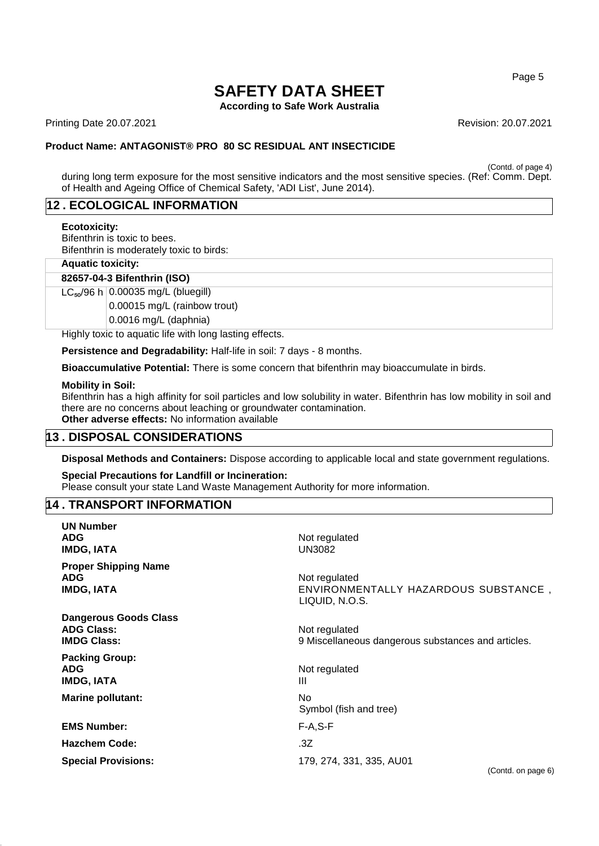**According to Safe Work Australia**

Printing Date 20.07.2021 **Revision: 20.07.2021** Revision: 20.07.2021

#### **Product Name: ANTAGONIST® PRO 80 SC RESIDUAL ANT INSECTICIDE**

(Contd. of page 4)

during long term exposure for the most sensitive indicators and the most sensitive species. (Ref: Comm. Dept. of Health and Ageing Office of Chemical Safety, 'ADI List', June 2014).

## **12 . ECOLOGICAL INFORMATION**

#### **Ecotoxicity:**

Bifenthrin is toxic to bees. Bifenthrin is moderately toxic to birds:

#### **Aquatic toxicity:**

**82657-04-3 Bifenthrin (ISO)**

 $LC_{50}/96$  h 0.00035 mg/L (bluegill)

0.00015 mg/L (rainbow trout)

0.0016 mg/L (daphnia)

Highly toxic to aquatic life with long lasting effects.

**Persistence and Degradability:** Half-life in soil: 7 days - 8 months.

**Bioaccumulative Potential:** There is some concern that bifenthrin may bioaccumulate in birds.

#### **Mobility in Soil:**

Bifenthrin has a high affinity for soil particles and low solubility in water. Bifenthrin has low mobility in soil and there are no concerns about leaching or groundwater contamination. **Other adverse effects:** No information available

## **13 . DISPOSAL CONSIDERATIONS**

**Disposal Methods and Containers:** Dispose according to applicable local and state government regulations.

## **Special Precautions for Landfill or Incineration:**

Please consult your state Land Waste Management Authority for more information.

#### **14 . TRANSPORT INFORMATION**

| <b>UN Number</b><br><b>ADG</b><br><b>IMDG, IATA</b>                     | Not regulated<br><b>UN3082</b>                                          |
|-------------------------------------------------------------------------|-------------------------------------------------------------------------|
| <b>Proper Shipping Name</b><br><b>ADG</b><br><b>IMDG, IATA</b>          | Not regulated<br>ENVIRONMENTALLY HAZARDOUS SUBSTANCE,<br>LIQUID, N.O.S. |
| <b>Dangerous Goods Class</b><br><b>ADG Class:</b><br><b>IMDG Class:</b> | Not regulated<br>9 Miscellaneous dangerous substances and articles.     |
| <b>Packing Group:</b><br><b>ADG</b><br><b>IMDG, IATA</b>                | Not regulated<br>Ш                                                      |
| <b>Marine pollutant:</b>                                                | No.<br>Symbol (fish and tree)                                           |
| <b>EMS Number:</b>                                                      | $F-A, S-F$                                                              |
| <b>Hazchem Code:</b>                                                    | .3Z                                                                     |
| <b>Special Provisions:</b>                                              | 179, 274, 331, 335, AU01<br>(Contd. on page 6)                          |